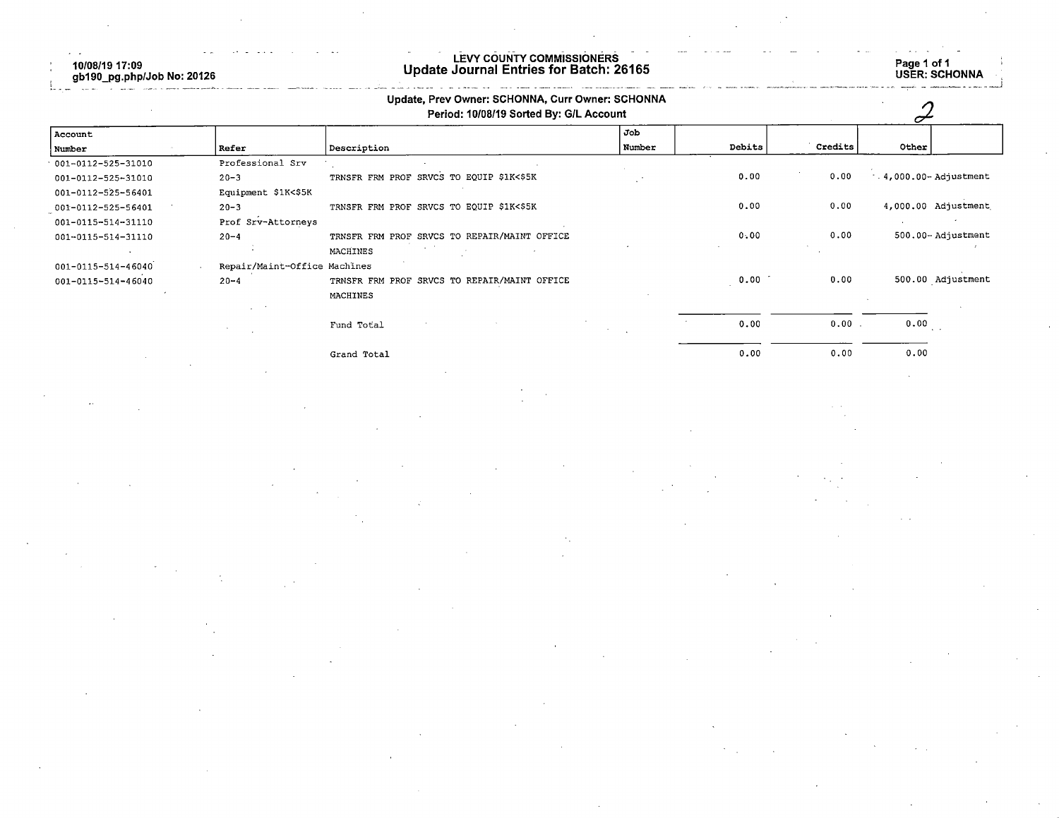10/08/19 17:09<br>gb190\_pg.php/Job No: 20126

## LEVY COUNTY COMMISSIONERS<br>Update Journal Entries for Batch: 26165

Page 1 of 1<br>USER: SCHONNA

| Description<br>Professional Srv              | Job<br>Number                                                             | Debits |         |                          |
|----------------------------------------------|---------------------------------------------------------------------------|--------|---------|--------------------------|
|                                              |                                                                           |        |         |                          |
|                                              |                                                                           |        | Credits | Other                    |
|                                              |                                                                           |        |         |                          |
| TRNSFR FRM PROF SRVCS TO EQUIP \$1K<\$5K     |                                                                           | 0.00   | 0.00    | $-4,000.00 -$ Adjustment |
|                                              |                                                                           |        |         |                          |
| TRNSFR FRM PROF SRVCS TO EQUIP \$1K<\$5K     |                                                                           | 0.00   | 0.00    | 4,000.00 Adjustment      |
|                                              |                                                                           |        |         |                          |
| TRNSFR FRM PROF SRVCS TO REPAIR/MAINT OFFICE |                                                                           | 0.00   | 0.00    | 500.00-Adjustment        |
| MACHINES                                     |                                                                           |        |         |                          |
|                                              |                                                                           |        |         |                          |
| TRNSFR FRM PROF SRVCS TO REPAIR/MAINT OFFICE |                                                                           | 0.00   | 0.00    | 500.00 Adjustment        |
| MACHINES                                     |                                                                           |        |         |                          |
|                                              |                                                                           |        |         |                          |
| Fund Total                                   |                                                                           | 0.00   | 0.00    | $0.00$                   |
| Grand Total                                  |                                                                           | 0.00   | 0.00    | 0.00                     |
|                                              | Equipment \$1K<\$5K<br>Prof Srv-Attorneys<br>Repair/Maint-Office Machines |        |         |                          |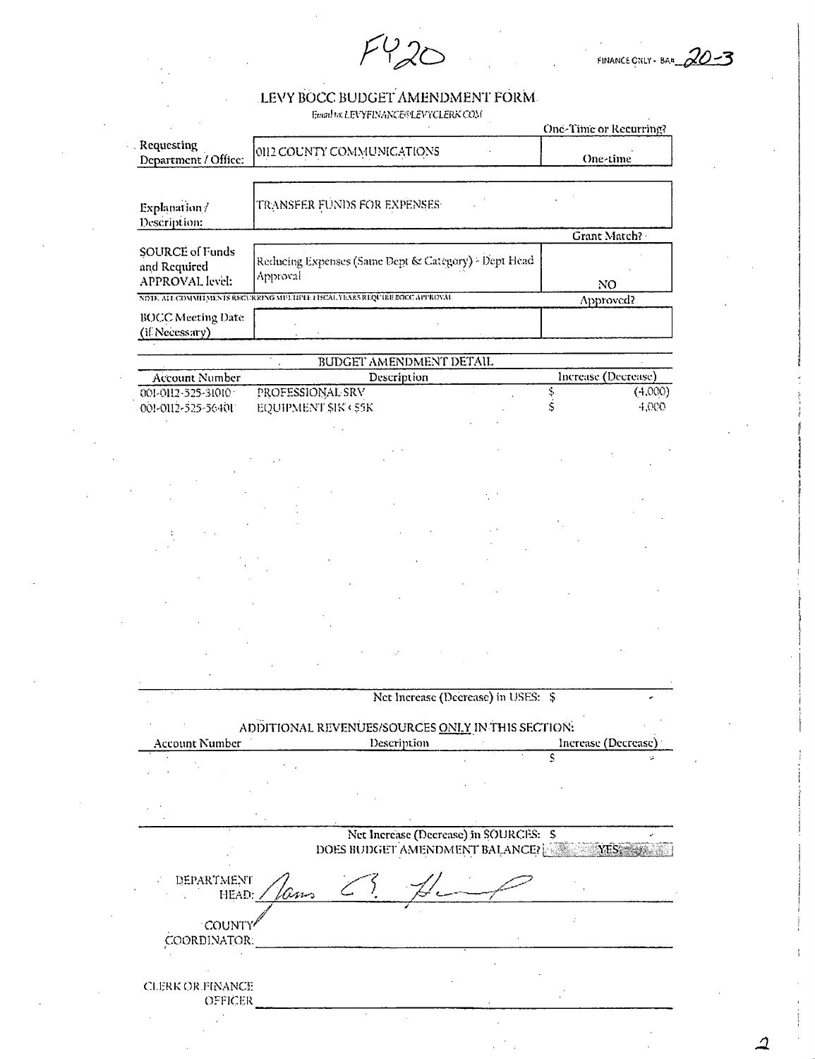$F420$ 

FINANCE CNLY - BAR 20-3

i.

## LEVY BOCC BUDGET AMENDMENT FORM.  $$\tt{Endlat. EIVFINANCE@LEVTCLERK CON}$$

|                                                                             |                                                                  |                                                                          |                                     |   | Une-Time or Recurring? |
|-----------------------------------------------------------------------------|------------------------------------------------------------------|--------------------------------------------------------------------------|-------------------------------------|---|------------------------|
| . Requesting<br>Department / Office:                                        | 0112 COUNTY COMMUNICATIONS                                       |                                                                          |                                     |   | One-time               |
| Explanation/<br>Description:                                                | TRANSFER FUNDS FOR EXPENSES                                      |                                                                          |                                     |   |                        |
|                                                                             |                                                                  |                                                                          |                                     |   | Grant Match?           |
| SOURCE of Funds<br>and Required<br>APPROVAL level:                          | Reducing Expenses (Same Dept & Category) > Dept Head<br>Approval |                                                                          |                                     |   | NO.                    |
| NOTE, ALL COMMITMENTS RECURRING MULTIPLE FISCAL YEARS REQUIRE EGCC APPROVAL |                                                                  |                                                                          |                                     |   | Approved?              |
| <b>BOCC Meeting Date</b><br>(if Necessary)                                  |                                                                  |                                                                          |                                     |   |                        |
|                                                                             |                                                                  |                                                                          |                                     |   |                        |
|                                                                             |                                                                  | BUDGET AMENDMENT DETAIL<br>Description                                   |                                     |   | Increase (Decrease)    |
| <b>Account Number</b><br>001-0112-525-31010                                 | PROFESSIONAL SRV                                                 |                                                                          |                                     | Ş | (4.000)                |
| 001-0112-525-56401                                                          | EQUIPMENT \$IK < \$5K                                            |                                                                          |                                     | Ś | 4,000                  |
|                                                                             |                                                                  |                                                                          |                                     |   |                        |
|                                                                             |                                                                  |                                                                          |                                     |   |                        |
|                                                                             |                                                                  |                                                                          |                                     |   |                        |
|                                                                             |                                                                  |                                                                          |                                     |   |                        |
|                                                                             |                                                                  |                                                                          |                                     |   |                        |
|                                                                             |                                                                  |                                                                          |                                     |   |                        |
|                                                                             |                                                                  |                                                                          |                                     |   |                        |
|                                                                             |                                                                  |                                                                          |                                     |   |                        |
|                                                                             |                                                                  |                                                                          |                                     |   |                        |
|                                                                             |                                                                  |                                                                          |                                     |   |                        |
|                                                                             |                                                                  |                                                                          |                                     |   |                        |
|                                                                             |                                                                  |                                                                          |                                     |   |                        |
|                                                                             |                                                                  |                                                                          |                                     |   |                        |
|                                                                             |                                                                  |                                                                          |                                     |   |                        |
|                                                                             |                                                                  |                                                                          | Net Increase (Decrease) in USES: \$ |   |                        |
|                                                                             |                                                                  |                                                                          |                                     |   |                        |
|                                                                             | ADDITIONAL REVENUES/SOURCES ONLY IN THIS SECTION:                |                                                                          |                                     |   |                        |
| <b>Account Number</b>                                                       |                                                                  | Description                                                              |                                     |   | Increase (Decrease)    |
|                                                                             |                                                                  |                                                                          |                                     |   |                        |
|                                                                             |                                                                  |                                                                          |                                     |   |                        |
|                                                                             |                                                                  |                                                                          |                                     |   |                        |
|                                                                             |                                                                  |                                                                          |                                     |   |                        |
|                                                                             |                                                                  |                                                                          |                                     |   |                        |
|                                                                             |                                                                  | Net Increase (Decrease) in SOURCES: \$<br>DOES BUDGET AMENDMENT BALANCE? |                                     |   |                        |
|                                                                             |                                                                  |                                                                          |                                     |   |                        |
| DEPARTMENT<br>HEAD:                                                         |                                                                  |                                                                          |                                     |   |                        |
|                                                                             |                                                                  |                                                                          |                                     |   |                        |
| <b>COUNTY</b>                                                               |                                                                  |                                                                          |                                     |   |                        |
| COORDINATOR:                                                                |                                                                  |                                                                          |                                     |   |                        |
|                                                                             |                                                                  |                                                                          |                                     |   |                        |
| <b>CLERK OR FINANCE</b>                                                     |                                                                  |                                                                          |                                     |   |                        |
| OFFICER                                                                     |                                                                  |                                                                          |                                     |   |                        |